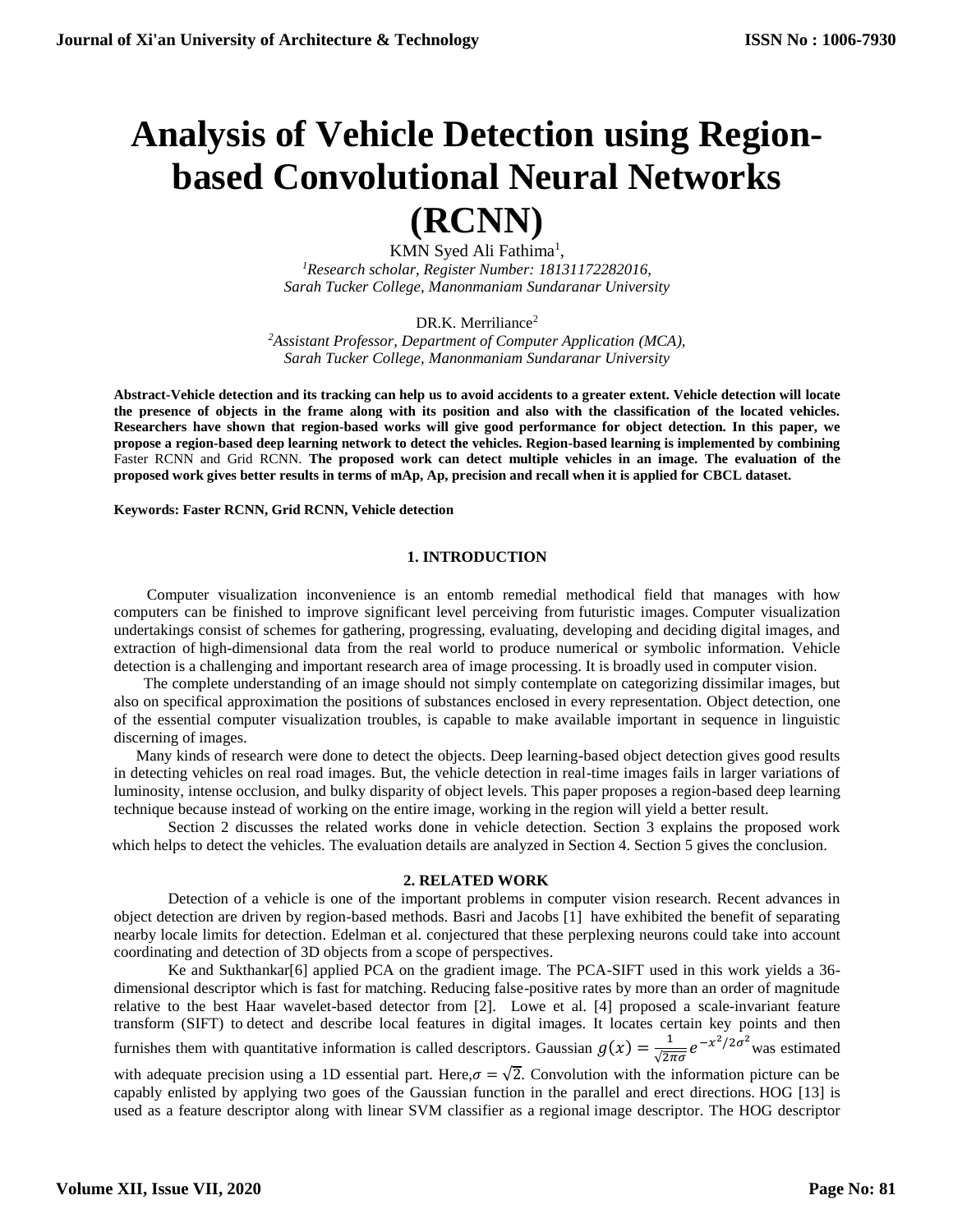# **Analysis of Vehicle Detection using Regionbased Convolutional Neural Networks (RCNN)**

KMN Syed Ali Fathima<sup>1</sup>, *<sup>1</sup>Research scholar, Register Number: 18131172282016, Sarah Tucker College, Manonmaniam Sundaranar University*

DR.K. Merriliance<sup>2</sup>

*<sup>2</sup>Assistant Professor, Department of Computer Application (MCA), Sarah Tucker College, Manonmaniam Sundaranar University*

**Abstract-Vehicle detection and its tracking can help us to avoid accidents to a greater extent. Vehicle detection will locate the presence of objects in the frame along with its position and also with the classification of the located vehicles. Researchers have shown that region-based works will give good performance for object detection. In this paper, we propose a region-based deep learning network to detect the vehicles. Region-based learning is implemented by combining**  Faster RCNN and Grid RCNN. **The proposed work can detect multiple vehicles in an image. The evaluation of the proposed work gives better results in terms of mAp, Ap, precision and recall when it is applied for CBCL dataset.**

**Keywords: Faster RCNN, Grid RCNN, Vehicle detection**

#### **1. INTRODUCTION**

Computer visualization inconvenience is an entomb remedial methodical field that manages with how computers can be finished to improve significant level perceiving from futuristic images. Computer visualization undertakings consist of schemes for [gathering,](https://en.m.wikipedia.org/wiki/Image_sensor) progressing, [evaluating,](https://en.m.wikipedia.org/wiki/Image_analysis) developing and deciding digital images, and extraction of [high-dimensional](https://en.m.wikipedia.org/wiki/High-dimensional) data from the real world to produce numerical or symbolic information. Vehicle detection is a challenging and important research area of image processing. It is broadly used in computer vision.

The complete understanding of an image should not simply contemplate on categorizing dissimilar images, but also on specifical approximation the positions of substances enclosed in every representation. Object detection, one of the essential computer visualization troubles, is capable to make available important in sequence in linguistic discerning of images.

Many kinds of research were done to detect the objects. Deep learning-based object detection gives good results in detecting vehicles on real road images. But, the vehicle detection in real-time images fails in larger variations of luminosity, intense occlusion, and bulky disparity of object levels. This paper proposes a region-based deep learning technique because instead of working on the entire image, working in the region will yield a better result.

Section 2 discusses the related works done in vehicle detection. Section 3 explains the proposed work which helps to detect the vehicles. The evaluation details are analyzed in Section 4. Section 5 gives the conclusion.

#### **2. RELATED WORK**

Detection of a vehicle is one of the important problems in computer vision research. Recent advances in object detection are driven by region-based methods. Basri and Jacobs [1] have exhibited the benefit of separating nearby locale limits for detection. Edelman et al. conjectured that these perplexing neurons could take into account coordinating and detection of 3D objects from a scope of perspectives.

Ke and Sukthankar[6] applied PCA on the gradient image. The PCA-SIFT used in this work yields a 36 dimensional descriptor which is fast for matching. Reducing false-positive rates by more than an order of magnitude relative to the best Haar wavelet-based detector from [2]. Lowe et al. [4] proposed a scale-invariant feature transform (SIFT) to detect and describe local features in digital images. It locates certain key points and then furnishes them with quantitative information is called descriptors. Gaussian  $g(x) = \frac{1}{\sqrt{2}}$  $\frac{1}{\sqrt{2\pi\sigma}}e^{-x^2/2\sigma^2}$  was estimated

with adequate precision using a 1D essential part. Here,  $\sigma = \sqrt{2}$ . Convolution with the information picture can be capably enlisted by applying two goes of the Gaussian function in the parallel and erect directions. HOG [13] is used as a feature descriptor along with linear SVM classifier as a regional image descriptor. The HOG descriptor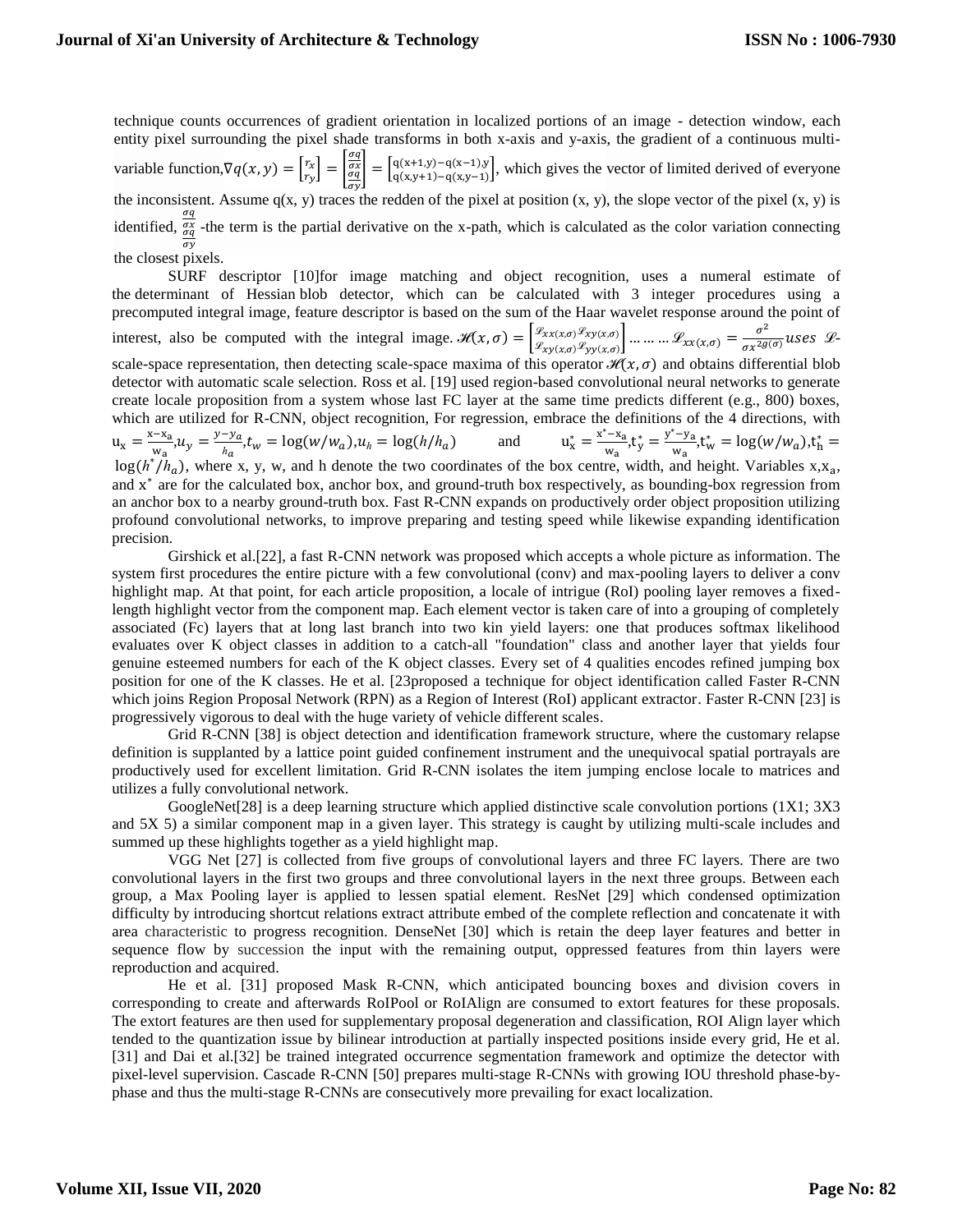technique counts occurrences of gradient orientation in localized portions of an image - detection window, each entity pixel surrounding the pixel shade transforms in both x-axis and y-axis, the gradient of a continuous multi-

variable function,  $\nabla q(x, y) = \begin{bmatrix} r_x \\ r_y \end{bmatrix}$  $\begin{bmatrix} r_x \\ r_y \end{bmatrix} = \begin{bmatrix} \frac{\sigma q}{\sigma x} \\ \frac{\sigma q}{\sigma y} \end{bmatrix} = \begin{bmatrix} q(x+1,y)-q(x-1),y \\ q(x,y+1)-q(x,y-1) \end{bmatrix}$  $q(x+1,y) - q(x-1,y)$ , which gives the vector of limited derived of everyone the inconsistent. Assume  $q(x, y)$  traces the redden of the pixel at position  $(x, y)$ , the slope vector of the pixel  $(x, y)$  is identified,  $\frac{\sigma x}{\sigma y}$ -the term is the partial derivative on the x-path, which is calculated as the color variation connecting

the closest pixels.

SURF descriptor [10]for image matching and object recognition, uses a numeral estimate of the [determinant of Hessian](https://en.wikipedia.org/wiki/Blob_detection#The_determinant_of_the_Hessian) [blob detector,](https://en.wikipedia.org/wiki/Blob_detection) which can be calculated with 3 integer procedures using a precomputed [integral image,](https://en.wikipedia.org/wiki/Integral_image) feature descriptor is based on the sum of the [Haar wavelet](https://en.wikipedia.org/wiki/Haar-like_feature) response around the point of interest, also be computed with the integral image.  $\mathcal{H}(x, \sigma) = \begin{cases} \mathcal{L}_{xx}(x, \sigma) \mathcal{L}_{xy}(x, \sigma) \\ \mathcal{L}_{xx}(x, \sigma) \mathcal{L}_{yy}(x, \sigma) \end{cases}$  $\frac{\partial \mathcal{L}_{xx}(x,\sigma) \mathcal{L}_{xy}(x,\sigma)}{\partial \mathcal{L}_{yy}(x,\sigma) \mathcal{L}_{yy}(x,\sigma)} \dots \dots \dots \mathcal{L}_{xx}(x,\sigma) = \frac{\sigma^2}{\sigma x^{2g}}$  $\frac{\partial}{\partial x^{2g(\sigma)}}$ uses Lscale-space representation, then detecting scale-space maxima of this operator  $\mathcal{H}(x, \sigma)$  and obtains differential blob detector with automatic scale selection. Ross et al. [19] used region-based convolutional neural networks to generate create locale proposition from a system whose last FC layer at the same time predicts different (e.g., 800) boxes, which are utilized for R-CNN, object recognition, For regression, embrace the definitions of the 4 directions, with  $u_x = \frac{x - x_a}{w_a}$  $\frac{y - x_a}{w_a}$ ,  $u_y = \frac{y - y_a}{h_a}$  $\frac{-y_a}{h_a}$ ,  $t_w = \log(w/w_a)$ ,  $u_h = \log(h/h_a)$  and  $u_x^* = \frac{x^* - x_a}{w_a}$  $\frac{y^*-x_a}{w_a}$ ,  $t_y^* = \frac{y^*-y_a}{w_a}$  $\frac{y_a}{w_a}$ , $t_w^* = \log(w/w_a)$ , $t_h^* =$  $log(h^*/\hat{h}_a)$ , where x, y, w, and h denote the two coordinates of the box centre, width, and height. Variables x,x<sub>a</sub>, and x<sup>\*</sup> are for the calculated box, anchor box, and ground-truth box respectively, as bounding-box regression from an anchor box to a nearby ground-truth box. Fast R-CNN expands on productively order object proposition utilizing profound convolutional networks, to improve preparing and testing speed while likewise expanding identification precision.

Girshick et al.[22], a fast R-CNN network was proposed which accepts a whole picture as information. The system first procedures the entire picture with a few convolutional (conv) and max-pooling layers to deliver a conv highlight map. At that point, for each article proposition, a locale of intrigue (RoI) pooling layer removes a fixedlength highlight vector from the component map. Each element vector is taken care of into a grouping of completely associated (Fc) layers that at long last branch into two kin yield layers: one that produces softmax likelihood evaluates over K object classes in addition to a catch-all "foundation" class and another layer that yields four genuine esteemed numbers for each of the K object classes. Every set of 4 qualities encodes refined jumping box position for one of the K classes. He et al. [23proposed a technique for object identification called Faster R-CNN which joins Region Proposal Network (RPN) as a Region of Interest (RoI) applicant extractor. Faster R-CNN [23] is progressively vigorous to deal with the huge variety of vehicle different scales.

Grid R-CNN [38] is object detection and identification framework structure, where the customary relapse definition is supplanted by a lattice point guided confinement instrument and the unequivocal spatial portrayals are productively used for excellent limitation. Grid R-CNN isolates the item jumping enclose locale to matrices and utilizes a fully convolutional network.

GoogleNet[28] is a deep learning structure which applied distinctive scale convolution portions  $(1X1; 3X3)$ and 5X 5) a similar component map in a given layer. This strategy is caught by utilizing multi-scale includes and summed up these highlights together as a yield highlight map.

VGG Net [27] is collected from five groups of convolutional layers and three FC layers. There are two convolutional layers in the first two groups and three convolutional layers in the next three groups. Between each group, a Max Pooling layer is applied to lessen spatial element. ResNet [29] which condensed optimization difficulty by introducing shortcut relations extract attribute embed of the complete reflection and concatenate it with area characteristic to progress recognition. DenseNet [30] which is retain the deep layer features and better in sequence flow by succession the input with the remaining output, oppressed features from thin layers were reproduction and acquired.

He et al. [31] proposed Mask R-CNN, which anticipated bouncing boxes and division covers in corresponding to create and afterwards RoIPool or RoIAlign are consumed to extort features for these proposals. The extort features are then used for supplementary proposal degeneration and classification, ROI Align layer which tended to the quantization issue by bilinear introduction at partially inspected positions inside every grid, He et al. [31] and Dai et al.[32] be trained integrated occurrence segmentation framework and optimize the detector with pixel-level supervision. Cascade R-CNN [50] prepares multi-stage R-CNNs with growing IOU threshold phase-byphase and thus the multi-stage R-CNNs are consecutively more prevailing for exact localization.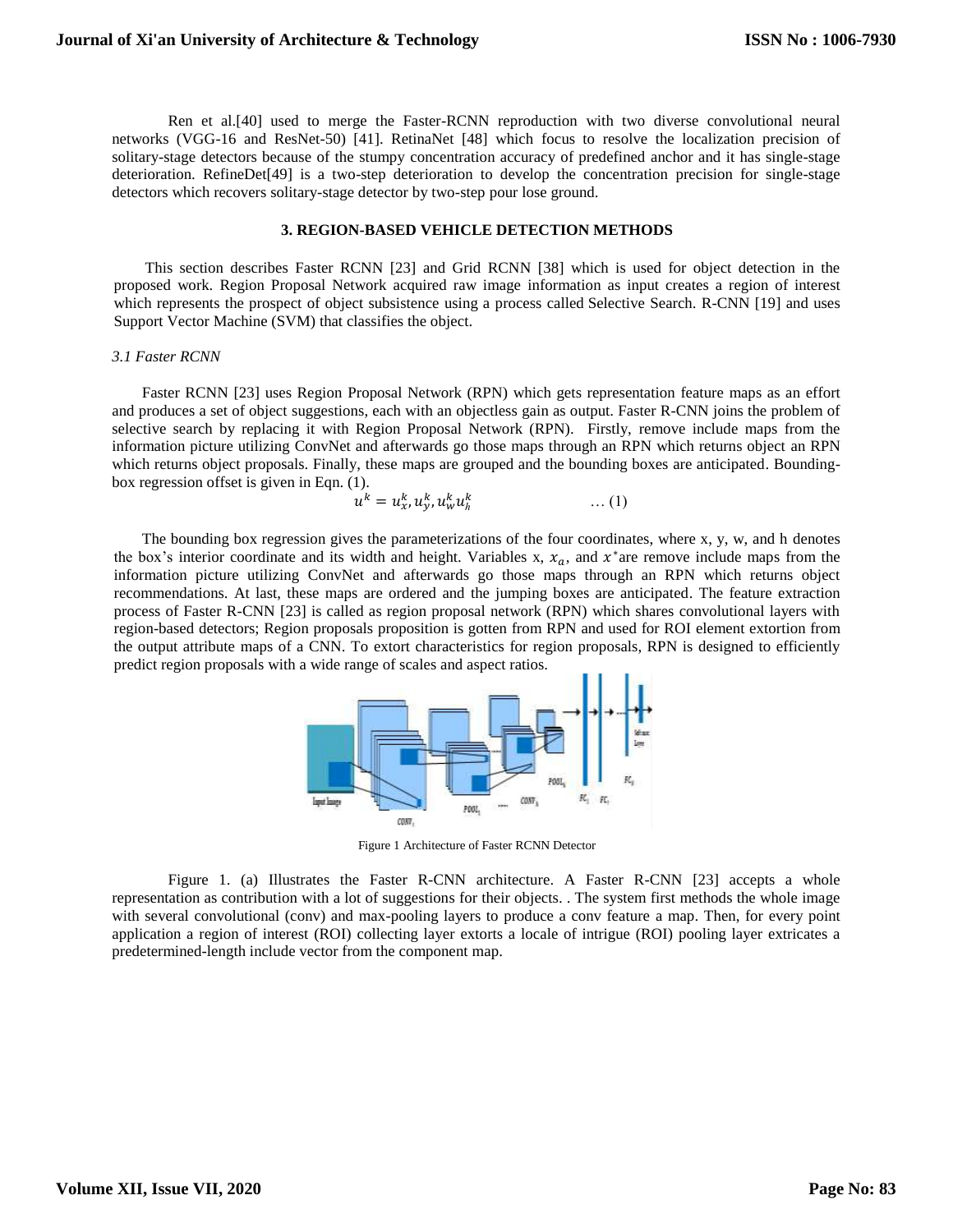Ren et al.[40] used to merge the Faster-RCNN reproduction with two diverse convolutional neural networks (VGG-16 and ResNet-50) [41]. RetinaNet [48] which focus to resolve the localization precision of solitary-stage detectors because of the stumpy concentration accuracy of predefined anchor and it has single-stage deterioration. RefineDet[49] is a two-step deterioration to develop the concentration precision for single-stage detectors which recovers solitary-stage detector by two-step pour lose ground.

#### **3. REGION-BASED VEHICLE DETECTION METHODS**

This section describes Faster RCNN [23] and Grid RCNN [38] which is used for object detection in the proposed work. Region Proposal Network acquired raw image information as input creates a region of interest which represents the prospect of object subsistence using a process called [Selective Search.](http://www.cs.cornell.edu/courses/cs7670/2014sp/slides/VisionSeminar14.pdf) R-CNN [19] and uses Support Vector Machine (SVM) that classifies the object.

#### *3.1 Faster RCNN*

Faster RCNN [23] uses Region Proposal Network (RPN) which gets representation feature maps as an effort and produces a set of object suggestions, each with an objectless gain as output. Faster R-CNN joins the problem of selective search by replacing it with Region Proposal Network (RPN). Firstly, remove include maps from the information picture utilizing ConvNet and afterwards go those maps through an RPN which returns object an RPN which returns object proposals. Finally, these maps are grouped and the bounding boxes are anticipated. Boundingbox regression offset is given in Eqn. (1).

$$
u^k = u^k_x, u^k_y, u^k_w u^k_h \qquad \qquad \dots (1)
$$

The bounding box regression gives the parameterizations of the four coordinates, where x, y, w, and h denotes the box's interior coordinate and its width and height. Variables x,  $x_a$ , and  $x^*$  are remove include maps from the information picture utilizing ConvNet and afterwards go those maps through an RPN which returns object recommendations. At last, these maps are ordered and the jumping boxes are anticipated. The feature extraction process of Faster R-CNN [23] is called as region proposal network (RPN) which shares convolutional layers with region-based detectors; Region proposals proposition is gotten from RPN and used for ROI element extortion from the output attribute maps of a CNN. To extort characteristics for region proposals, RPN is designed to efficiently predict region proposals with a wide range of scales and aspect ratios.



Figure 1 Architecture of Faster RCNN Detector

Figure 1. (a) Illustrates the Faster R-CNN architecture. A Faster R-CNN [23] accepts a whole representation as contribution with a lot of suggestions for their objects. . The system first methods the whole image with several convolutional (conv) and max-pooling layers to produce a conv feature a map. Then, for every point application a region of interest (ROI) collecting layer extorts a locale of intrigue (ROI) pooling layer extricates a predetermined-length include vector from the component map.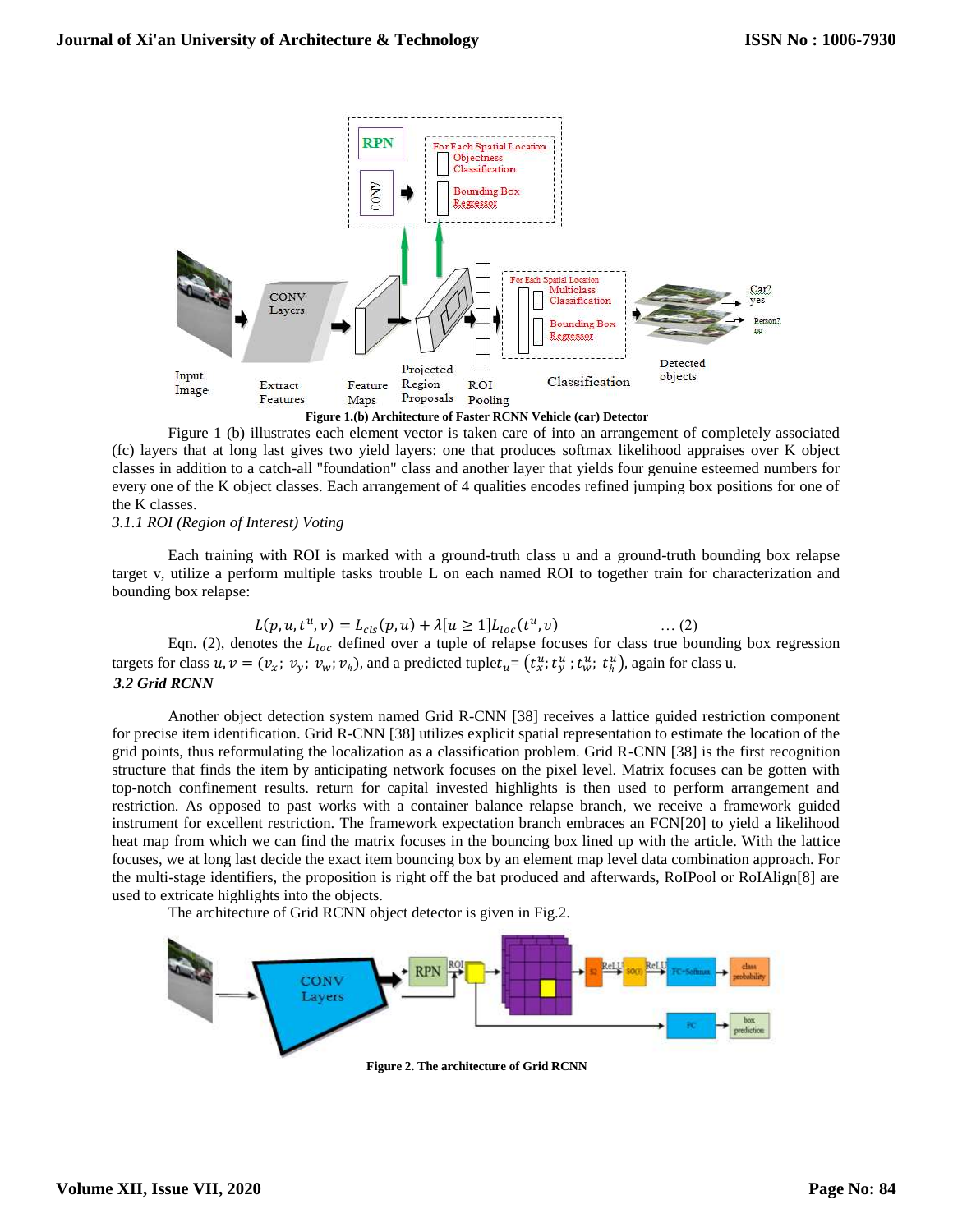



Figure 1 (b) illustrates each element vector is taken care of into an arrangement of completely associated (fc) layers that at long last gives two yield layers: one that produces softmax likelihood appraises over K object classes in addition to a catch-all "foundation" class and another layer that yields four genuine esteemed numbers for every one of the K object classes. Each arrangement of 4 qualities encodes refined jumping box positions for one of the K classes.

#### *3.1.1 ROI (Region of Interest) Voting*

Each training with ROI is marked with a ground-truth class u and a ground-truth bounding box relapse target v, utilize a perform multiple tasks trouble L on each named ROI to together train for characterization and bounding box relapse:

$$
L(p, u, t^u, v) = L_{cls}(p, u) + \lambda [u \ge 1] L_{loc}(t^u, v) \qquad \qquad \dots (2)
$$

Eqn. (2), denotes the  $L_{loc}$  defined over a tuple of relapse focuses for class true bounding box regression targets for class  $u, v = (v_x; v_y; v_w; v_h)$ , and a predicted tuple $t_u = (t_x^u; t_y^u; t_w^u; t_h^u)$ , again for class u. *3.2 Grid RCNN*

Another object detection system named Grid R-CNN [38] receives a lattice guided restriction component for precise item identification. Grid R-CNN [38] utilizes explicit spatial representation to estimate the location of the grid points, thus reformulating the localization as a classification problem. Grid R-CNN [38] is the first recognition structure that finds the item by anticipating network focuses on the pixel level. Matrix focuses can be gotten with top-notch confinement results. return for capital invested highlights is then used to perform arrangement and restriction. As opposed to past works with a container balance relapse branch, we receive a framework guided instrument for excellent restriction. The framework expectation branch embraces an FCN[20] to yield a likelihood heat map from which we can find the matrix focuses in the bouncing box lined up with the article. With the lattice focuses, we at long last decide the exact item bouncing box by an element map level data combination approach. For the multi-stage identifiers, the proposition is right off the bat produced and afterwards, RoIPool or RoIAlign[8] are used to extricate highlights into the objects.

The architecture of Grid RCNN object detector is given in Fig.2.



**Figure 2. The architecture of Grid RCNN**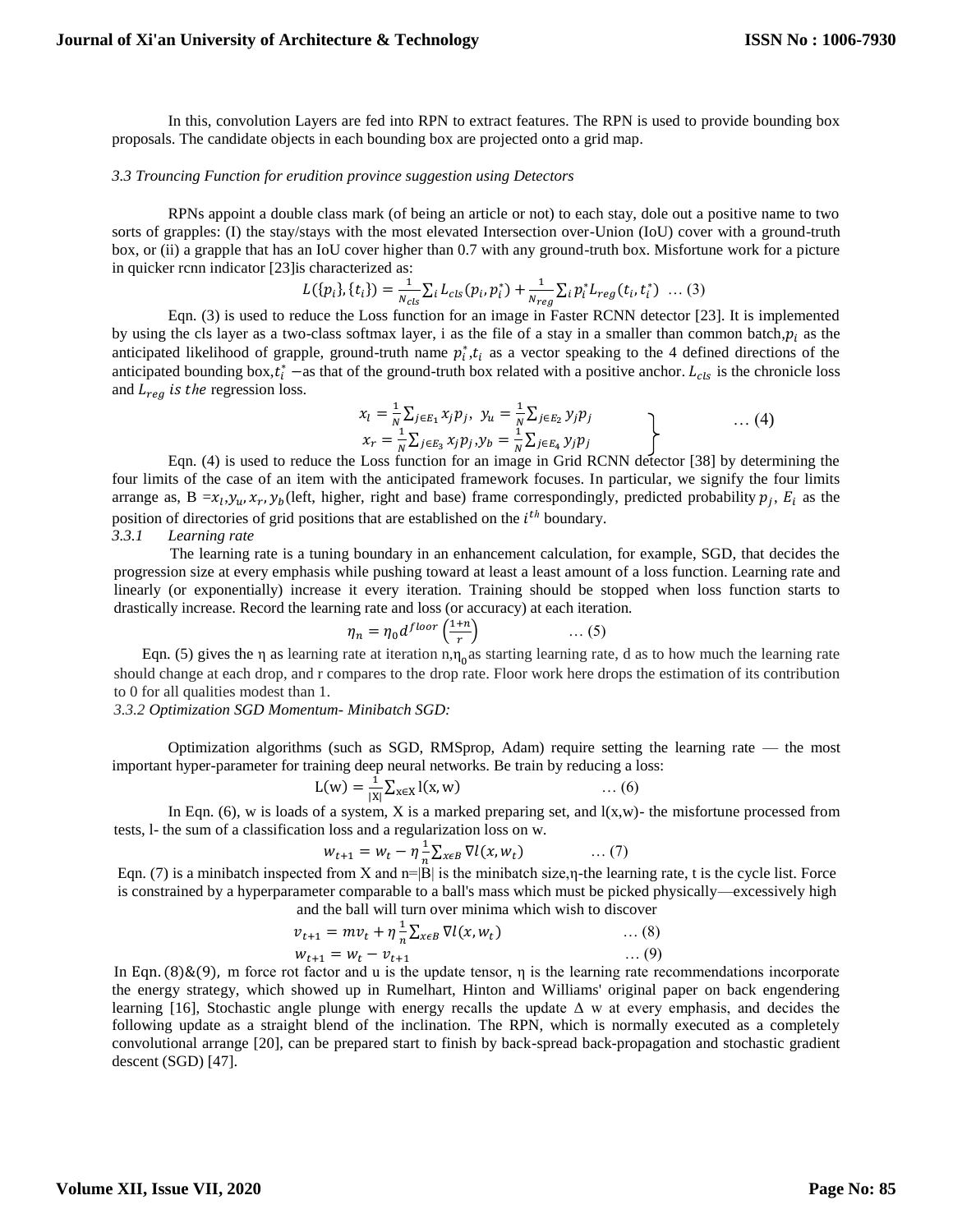#### **Journal of Xi'an University of Architecture & Technology**

In this, convolution Layers are fed into RPN to extract features. The RPN is used to provide bounding box proposals. The candidate objects in each bounding box are projected onto a grid map.

#### *3.3 Trouncing Function for erudition province suggestion using Detectors*

RPNs appoint a double class mark (of being an article or not) to each stay, dole out a positive name to two sorts of grapples: (I) the stay/stays with the most elevated Intersection over-Union (IoU) cover with a ground-truth box, or (ii) a grapple that has an IoU cover higher than 0.7 with any ground-truth box. Misfortune work for a picture in quicker rcnn indicator [23]is characterized as:

$$
L({p_i}, {t_i}) = \frac{1}{N_{cls}} \sum_i L_{cls}(p_i, p_i^*) + \frac{1}{N_{reg}} \sum_i p_i^* L_{reg}(t_i, t_i^*) \dots (3)
$$

Eqn. (3) is used to reduce the Loss function for an image in Faster RCNN detector [23]. It is implemented by using the cls layer as a two-class softmax layer, i as the file of a stay in a smaller than common batch,  $p_i$  as the anticipated likelihood of grapple, ground-truth name  $p_i^*$ ,  $t_i$  as a vector speaking to the 4 defined directions of the anticipated bounding box,  $t_i^*$  –as that of the ground-truth box related with a positive anchor.  $L_{cls}$  is the chronicle loss and  $L_{req}$  is the regression loss.

$$
x_{l} = \frac{1}{N} \sum_{j \in E_{1}} x_{j} p_{j}, \quad y_{u} = \frac{1}{N} \sum_{j \in E_{2}} y_{j} p_{j} \qquad \dots (4)
$$
  

$$
x_{r} = \frac{1}{N} \sum_{j \in E_{3}} x_{j} p_{j}, y_{b} = \frac{1}{N} \sum_{j \in E_{4}} y_{j} p_{j} \qquad \dots (4)
$$

Eqn. (4) is used to reduce the Loss function for an image in Grid RCNN detector [38] by determining the four limits of the case of an item with the anticipated framework focuses. In particular, we signify the four limits arrange as,  $B = x_l, y_u, x_r, y_b$  (left, higher, right and base) frame correspondingly, predicted probability  $p_j$ ,  $E_i$  as the position of directories of grid positions that are established on the *i*<sup>th</sup> boundary.

#### *3.3.1 Learning rate*

The learning rate is a tuning boundary in an enhancement calculation, for example, SGD, that decides the progression size at every emphasis while pushing toward at least a least amount of a [loss function.](https://en.wikipedia.org/wiki/Loss_function) Learning rate and linearly (or exponentially) increase it every iteration. Training should be stopped when loss function starts to drastically increase. Record the learning rate and loss (or accuracy) at each iteration.

$$
\eta_n = \eta_0 d^{floor} \left( \frac{1+n}{r} \right) \qquad \qquad \dots (5)
$$

Eqn. (5) gives the  $\eta$  as learning rate at iteration n, $\eta_0$  as starting learning rate, d as to how much the learning rate should change at each drop, and r compares to the drop rate. Floor work here drops the estimation of its contribution to 0 for all qualities modest than 1.

*3.3.2 Optimization SGD Momentum- Minibatch SGD:*

Optimization algorithms (such as SGD, RMSprop, Adam) require setting the learning rate — the most important hyper-parameter for training deep neural networks. Be train by reducing a loss:

$$
L(w) = \frac{1}{|x|} \sum_{x \in X} l(x, w) \qquad \qquad \dots (6)
$$

In Eqn. (6), w is loads of a system, X is a marked preparing set, and  $l(x, w)$ - the misfortune processed from tests, l- the sum of a classification loss and a regularization loss on w.

$$
w_{t+1} = w_t - \eta \frac{1}{n} \sum_{x \in B} \nabla l(x, w_t) \tag{7}
$$

Eqn. (7) is a minibatch inspected from X and n= $|B|$  is the minibatch size,  $\eta$ -the learning rate, t is the cycle list. Force is constrained by a hyperparameter comparable to a ball's mass which must be picked physically—excessively high and the ball will turn over minima which wish to discover

$$
v_{t+1} = m v_t + \eta \frac{1}{n} \sum_{x \in B} \nabla l(x, w_t) \qquad \qquad \dots (8)
$$
  

$$
w_{t+1} = w_t - v_{t+1} \qquad \dots (9)
$$

In Eqn.  $(8)$ &(9), m force rot factor and u is the update tensor,  $\eta$  is the learning rate recommendations incorporate the energy strategy, which showed up in Rumelhart, Hinton and Williams' original paper on back engendering learning [16], Stochastic angle plunge with energy recalls the update  $\Delta$  w at every emphasis, and decides the following update as a straight blend of the inclination. The RPN, which is normally executed as a completely convolutional arrange [20], can be prepared start to finish by back-spread back-propagation and stochastic gradient descent (SGD) [47].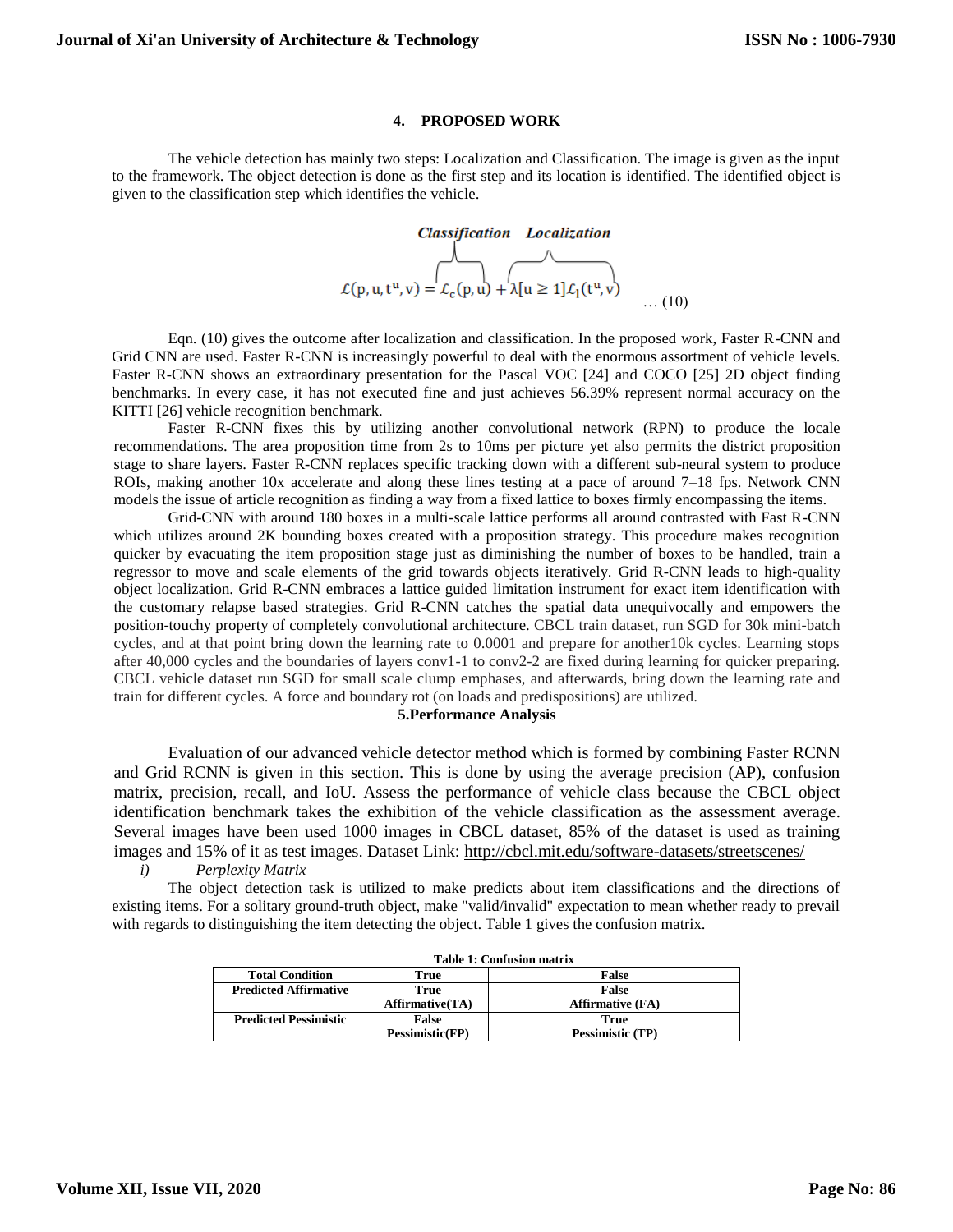#### **4. PROPOSED WORK**

The vehicle detection has mainly two steps: Localization and Classification. The image is given as the input to the framework. The object detection is done as the first step and its location is identified. The identified object is given to the classification step which identifies the vehicle.

## **Classification** Localization  $\mathcal{L}(p, u, t^u, v) = \mathcal{L}_c(p, u) + \lambda [u \ge 1] \mathcal{L}_1(t^u, v)$ … (10)

Eqn. (10) gives the outcome after localization and classification. In the proposed work, Faster R-CNN and Grid CNN are used. Faster R-CNN is increasingly powerful to deal with the enormous assortment of vehicle levels. Faster R-CNN shows an extraordinary presentation for the Pascal VOC [24] and COCO [25] 2D object finding benchmarks. In every case, it has not executed fine and just achieves 56.39% represent normal accuracy on the KITTI [26] vehicle recognition benchmark.

Faster R-CNN fixes this by utilizing another convolutional network (RPN) to produce the locale recommendations. The area proposition time from 2s to 10ms per picture yet also permits the district proposition stage to share layers. Faster R-CNN replaces specific tracking down with a different sub-neural system to produce ROIs, making another 10x accelerate and along these lines testing at a pace of around 7–18 fps. Network CNN models the issue of article recognition as finding a way from a fixed lattice to boxes firmly encompassing the items.

Grid-CNN with around 180 boxes in a multi-scale lattice performs all around contrasted with Fast R-CNN which utilizes around 2K bounding boxes created with a proposition strategy. This procedure makes recognition quicker by evacuating the item proposition stage just as diminishing the number of boxes to be handled, train a regressor to move and scale elements of the grid towards objects iteratively. Grid R-CNN leads to high-quality object localization. Grid R-CNN embraces a lattice guided limitation instrument for exact item identification with the customary relapse based strategies. Grid R-CNN catches the spatial data unequivocally and empowers the position-touchy property of completely convolutional architecture. CBCL train dataset, run SGD for 30k mini-batch cycles, and at that point bring down the learning rate to 0.0001 and prepare for another10k cycles. Learning stops after 40,000 cycles and the boundaries of layers conv1-1 to conv2-2 are fixed during learning for quicker preparing. CBCL vehicle dataset run SGD for small scale clump emphases, and afterwards, bring down the learning rate and train for different cycles. A force and boundary rot (on loads and predispositions) are utilized.

#### **5.Performance Analysis**

Evaluation of our advanced vehicle detector method which is formed by combining Faster RCNN and Grid RCNN is given in this section. This is done by using the average precision (AP), confusion matrix, precision, recall, and IoU. Assess the performance of vehicle class because the CBCL object identification benchmark takes the exhibition of the vehicle classification as the assessment average. Several images have been used 1000 images in CBCL dataset, 85% of the dataset is used as training images and 15% of it as test images. Dataset Link:<http://cbcl.mit.edu/software-datasets/streetscenes/>

*i) Perplexity Matrix*

The object detection task is utilized to make predicts about item classifications and the directions of existing items. For a solitary ground-truth object, make "valid/invalid" expectation to mean whether ready to prevail with regards to distinguishing the item detecting the object. Table 1 gives the confusion matrix.

| Table 1: Confusion matrix    |                 |                         |  |  |
|------------------------------|-----------------|-------------------------|--|--|
| <b>Total Condition</b>       | True            | False                   |  |  |
| <b>Predicted Affirmative</b> | True            | <b>False</b>            |  |  |
|                              | Affirmative(TA) | <b>Affirmative (FA)</b> |  |  |
| <b>Predicted Pessimistic</b> | False           | True                    |  |  |
|                              | Pessimistic(FP) | <b>Pessimistic (TP)</b> |  |  |

**Table 1: Confusion matrix**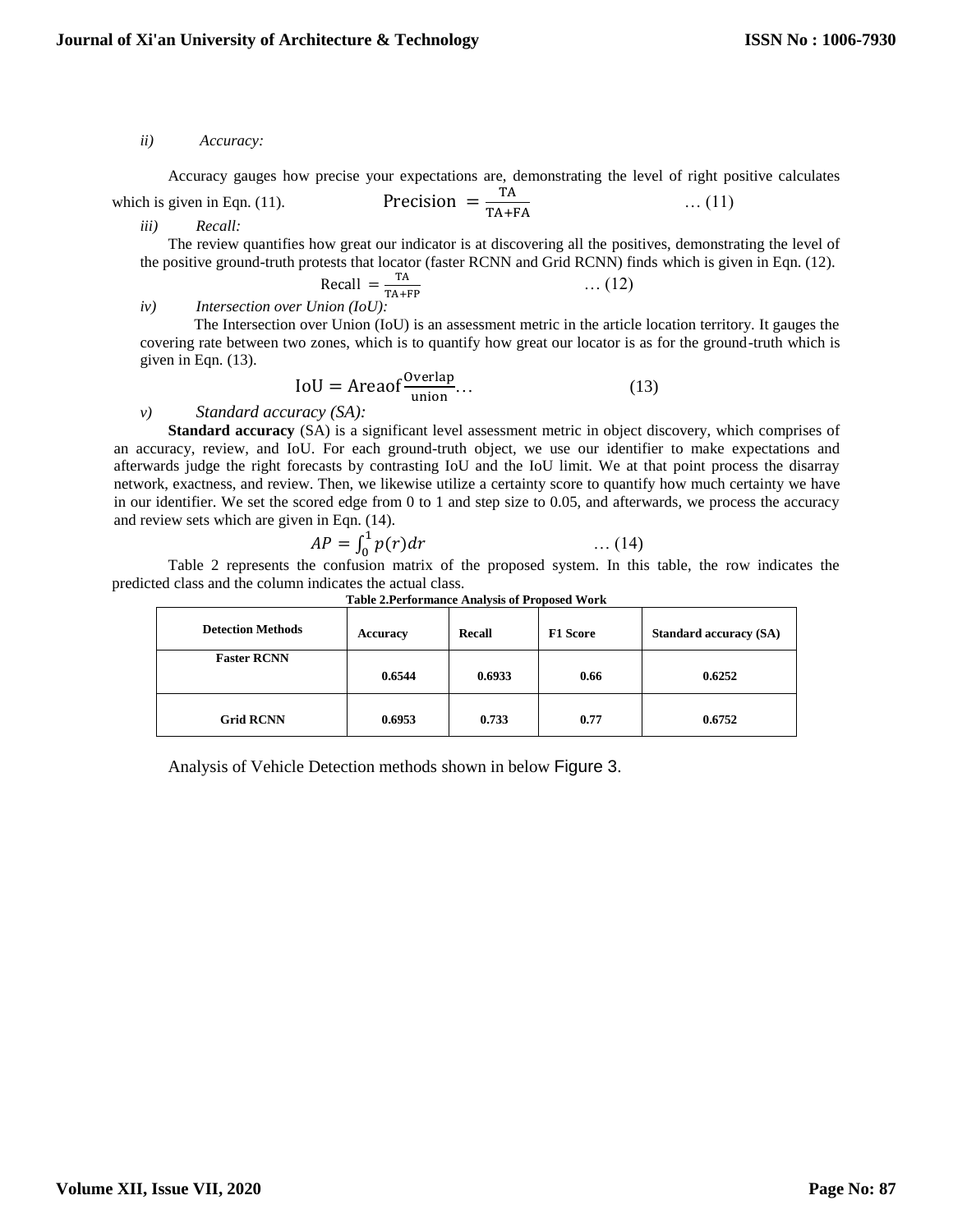*ii) Accuracy:* 

Accuracy gauges how precise your expectations are, demonstrating the level of right positive calculates which is given in Eqn.  $(11)$ . TA TA+FA … (11)

*iii) Recall:* 

The review quantifies how great our indicator is at discovering all the positives, demonstrating the level of the positive ground-truth protests that locator (faster RCNN and Grid RCNN) finds which is given in Eqn. (12).

$$
\text{Recall} = \frac{\text{TA}}{\text{TA+FP}} \tag{12}
$$

*iv) Intersection over Union (IoU):* 

The Intersection over Union (IoU) is an assessment metric in the article location territory. It gauges the covering rate between two zones, which is to quantify how great our locator is as for the ground-truth which is given in Eqn. (13).

$$
IoU = \text{Areaof} \frac{\text{Overall}}{\text{union}} \dots \tag{13}
$$

*v) Standard accuracy (SA):* 

**Standard accuracy** (SA) is a significant level assessment metric in object discovery, which comprises of an accuracy, review, and IoU. For each ground-truth object, we use our identifier to make expectations and afterwards judge the right forecasts by contrasting IoU and the IoU limit. We at that point process the disarray network, exactness, and review. Then, we likewise utilize a certainty score to quantify how much certainty we have in our identifier. We set the scored edge from 0 to 1 and step size to 0.05, and afterwards, we process the accuracy and review sets which are given in Eqn. (14).

$$
AP = \int_0^1 p(r) dr \qquad \qquad \dots (14)
$$

Table 2 represents the confusion matrix of the proposed system. In this table, the row indicates the predicted class and the column indicates the actual class.

| <b>Detection Methods</b> | Accuracy | <b>Recall</b> | <b>F1 Score</b> | <b>Standard accuracy (SA)</b> |
|--------------------------|----------|---------------|-----------------|-------------------------------|
| <b>Faster RCNN</b>       | 0.6544   | 0.6933        | 0.66            | 0.6252                        |
| <b>Grid RCNN</b>         | 0.6953   | 0.733         | 0.77            | 0.6752                        |

**Table 2.Performance Analysis of Proposed Work**

Analysis of Vehicle Detection methods shown in below Figure 3.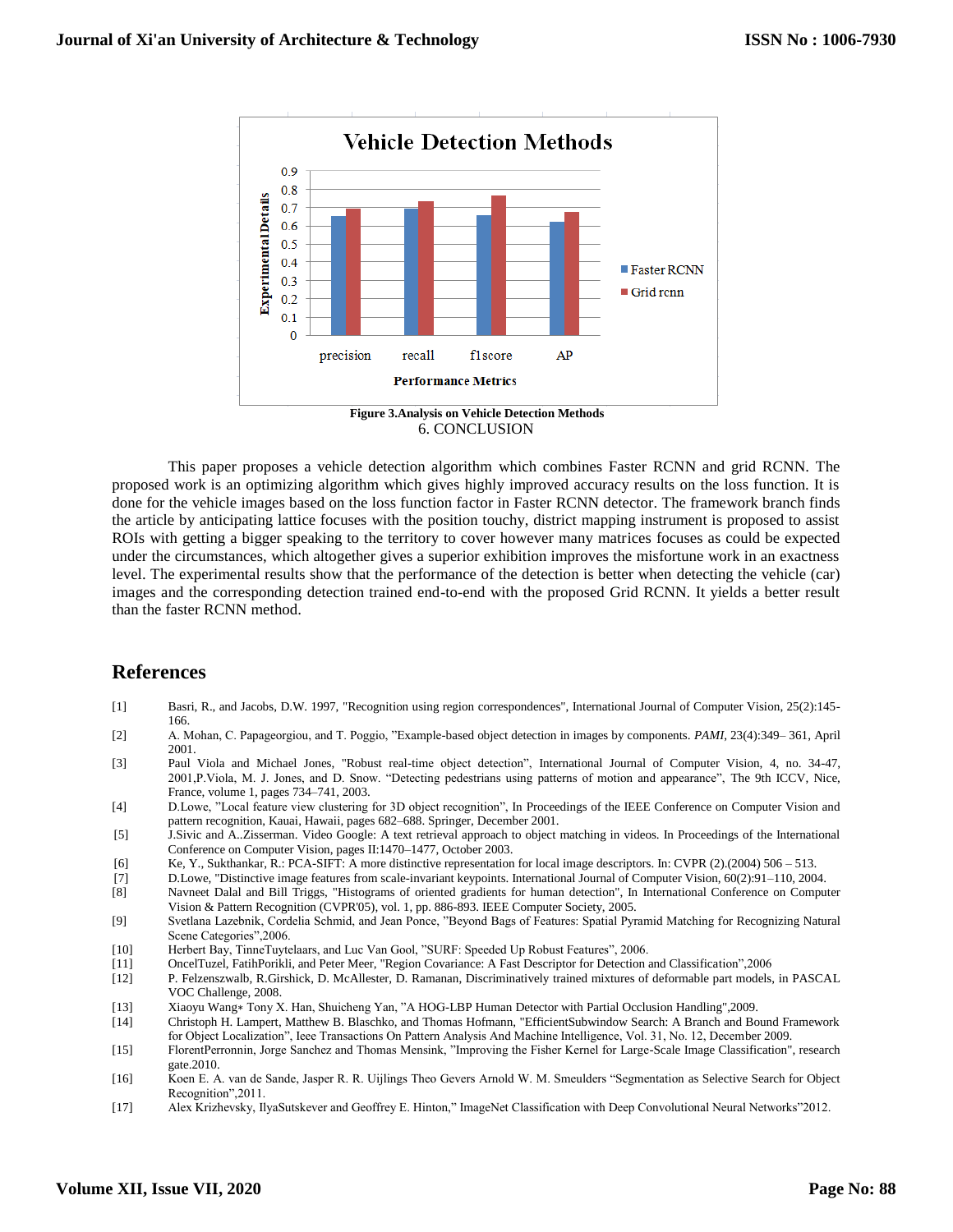

6. CONCLUSION

This paper proposes a vehicle detection algorithm which combines Faster RCNN and grid RCNN. The proposed work is an optimizing algorithm which gives highly improved accuracy results on the loss function. It is done for the vehicle images based on the loss function factor in Faster RCNN detector. The framework branch finds the article by anticipating lattice focuses with the position touchy, district mapping instrument is proposed to assist ROIs with getting a bigger speaking to the territory to cover however many matrices focuses as could be expected under the circumstances, which altogether gives a superior exhibition improves the misfortune work in an exactness level. The experimental results show that the performance of the detection is better when detecting the vehicle (car) images and the corresponding detection trained end-to-end with the proposed Grid RCNN. It yields a better result than the faster RCNN method.

### **References**

- [1] Basri, R., and Jacobs, D.W. 1997, "Recognition using region correspondences", International Journal of Computer Vision, 25(2):145- 166.
- [2] A. Mohan, C. Papageorgiou, and T. Poggio, "Example-based object detection in images by components. *PAMI*, 23(4):349– 361, April 2001.
- [3] Paul Viola and Michael Jones, "Robust real-time object detection", International Journal of Computer Vision, 4, no. 34-47, 2001,P.Viola, M. J. Jones, and D. Snow. "Detecting pedestrians using patterns of motion and appearance", The 9th ICCV, Nice, France, volume 1, pages 734–741, 2003.
- [4] D.Lowe, "Local feature view clustering for 3D object recognition", In Proceedings of the IEEE Conference on Computer Vision and pattern recognition, Kauai, Hawaii, pages 682–688. Springer, December 2001.
- [5] J.Sivic and A..Zisserman. Video Google: A text retrieval approach to object matching in videos. In Proceedings of the International Conference on Computer Vision, pages II:1470–1477, October 2003.
- [6] Ke, Y., Sukthankar, R.: PCA-SIFT: A more distinctive representation for local image descriptors. In: CVPR (2).(2004) 506 513.
- [7] D.Lowe, "Distinctive image features from scale-invariant keypoints. International Journal of Computer Vision, 60(2):91–110, 2004.
- [8] Navneet Dalal and Bill Triggs, "Histograms of oriented gradients for human detection", In International Conference on Computer Vision & Pattern Recognition (CVPR'05), vol. 1, pp. 886-893. IEEE Computer Society, 2005.
- [9] Svetlana Lazebnik, Cordelia Schmid, and Jean Ponce, "Beyond Bags of Features: Spatial Pyramid Matching for Recognizing Natural Scene Categories",2006.
- [10] Herbert Bay, TinneTuytelaars, and Luc Van Gool, "SURF: Speeded Up Robust Features", 2006.
- [11] OncelTuzel, FatihPorikli, and Peter Meer, "Region Covariance: A Fast Descriptor for Detection and Classification",2006
- [12] P. Felzenszwalb, R.Girshick, D. McAllester, D. Ramanan, Discriminatively trained mixtures of deformable part models, in PASCAL VOC Challenge, 2008.
- [13] Xiaoyu Wang∗ Tony X. Han, Shuicheng Yan, "A HOG-LBP Human Detector with Partial Occlusion Handling",2009.
- [14] Christoph H. Lampert, Matthew B. Blaschko, and Thomas Hofmann, "EfficientSubwindow Search: A Branch and Bound Framework for Object Localization", Ieee Transactions On Pattern Analysis And Machine Intelligence, Vol. 31, No. 12, December 2009.
- [15] FlorentPerronnin, Jorge Sanchez and Thomas Mensink, "Improving the Fisher Kernel for Large-Scale Image Classification", research gate.2010.
- [16] Koen E. A. van de Sande, Jasper R. R. Uijlings Theo Gevers Arnold W. M. Smeulders "Segmentation as Selective Search for Object Recognition",2011.
- [17] Alex Krizhevsky, IlyaSutskever and Geoffrey E. Hinton," ImageNet Classification with Deep Convolutional Neural Networks"2012.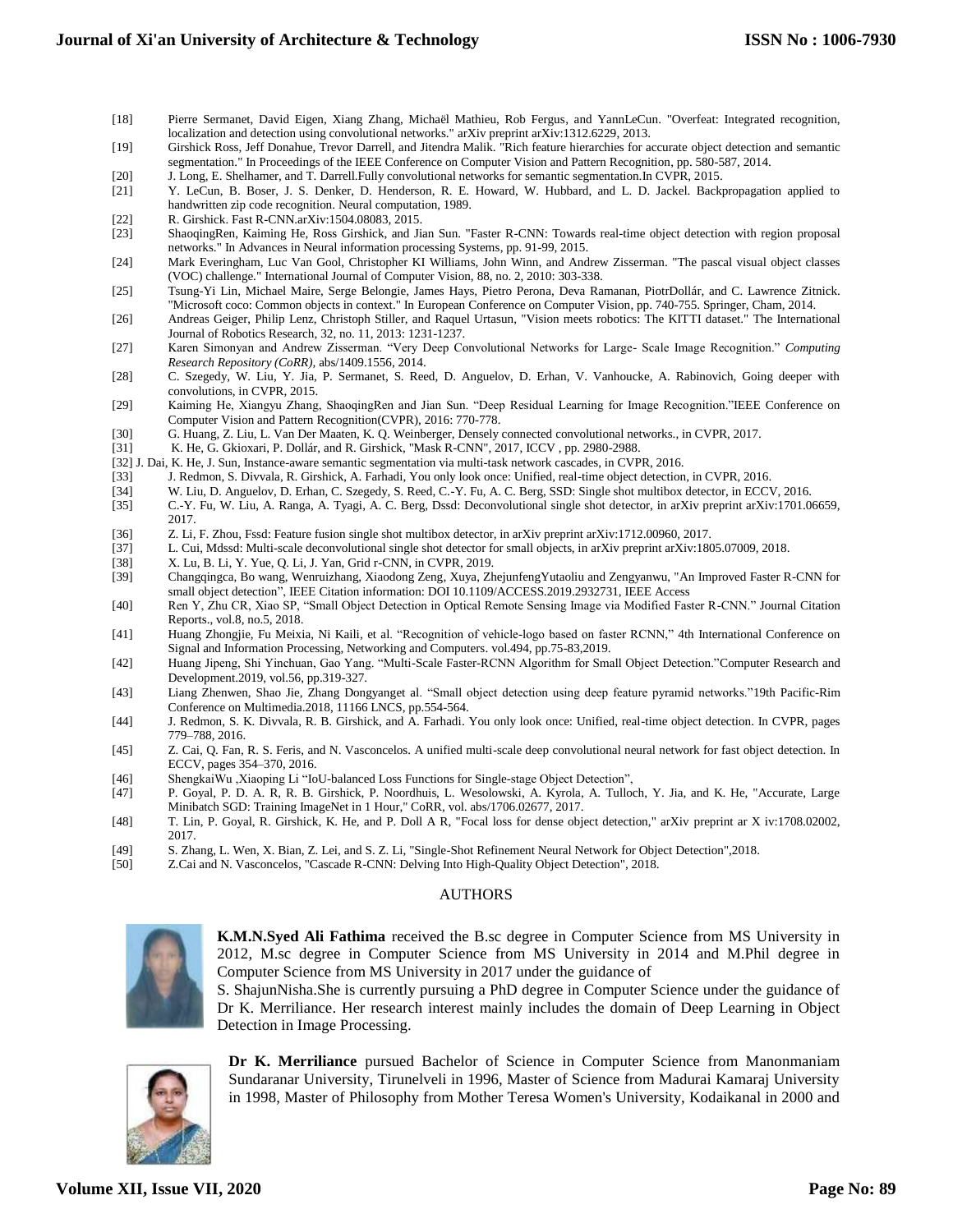- [18] Pierre Sermanet, David Eigen, Xiang Zhang, Michaël Mathieu, Rob Fergus, and YannLeCun. "Overfeat: Integrated recognition, localization and detection using convolutional networks." arXiv preprint arXiv:1312.6229, 2013.
- [19] Girshick Ross, Jeff Donahue, Trevor Darrell, and Jitendra Malik. "Rich feature hierarchies for accurate object detection and semantic segmentation." In Proceedings of the IEEE Conference on Computer Vision and Pattern Recognition, pp. 580-587, 2014.
- [20] J. Long, E. Shelhamer, and T. Darrell.Fully convolutional networks for semantic segmentation.In CVPR, 2015.
- [21] Y. LeCun, B. Boser, J. S. Denker, D. Henderson, R. E. Howard, W. Hubbard, and L. D. Jackel. Backpropagation applied to handwritten zip code recognition. Neural computation, 1989.
- [22] R. Girshick. Fast R-CNN.arXiv:1504.08083, 2015.
- [23] ShaoqingRen, Kaiming He, Ross Girshick, and Jian Sun. "Faster R-CNN: Towards real-time object detection with region proposal networks." In Advances in Neural information processing Systems, pp. 91-99, 2015.
- [24] Mark Everingham, Luc Van Gool, Christopher KI Williams, John Winn, and Andrew Zisserman. "The pascal visual object classes (VOC) challenge." International Journal of Computer Vision, 88, no. 2, 2010: 303-338.
- [25] Tsung-Yi Lin, Michael Maire, Serge Belongie, James Hays, Pietro Perona, Deva Ramanan, PiotrDollár, and C. Lawrence Zitnick. "Microsoft coco: Common objects in context." In European Conference on Computer Vision, pp. 740-755. Springer, Cham, 2014.
- [26] Andreas Geiger, Philip Lenz, Christoph Stiller, and Raquel Urtasun, "Vision meets robotics: The KITTI dataset." The International Journal of Robotics Research, 32, no. 11, 2013: 1231-1237.
- [27] Karen Simonyan and Andrew Zisserman. "Very Deep Convolutional Networks for Large- Scale Image Recognition." *Computing Research Repository (CoRR),* abs/1409.1556, 2014.
- [28] C. Szegedy, W. Liu, Y. Jia, P. Sermanet, S. Reed, D. Anguelov, D. Erhan, V. Vanhoucke, A. Rabinovich, Going deeper with convolutions, in CVPR, 2015.
- [29] Kaiming He, Xiangyu Zhang, ShaoqingRen and Jian Sun. "Deep Residual Learning for Image Recognition."IEEE Conference on Computer Vision and Pattern Recognition(CVPR), 2016: 770-778.
- [30] G. Huang, Z. Liu, L. Van Der Maaten, K. Q. Weinberger, Densely connected convolutional networks., in CVPR, 2017.
- [31] K. He, G. Gkioxari, P. Dollár, and R. Girshick, "Mask R-CNN", 2017, ICCV , pp. 2980-2988.
- [32] J. Dai, K. He, J. Sun, Instance-aware semantic segmentation via multi-task network cascades, in CVPR, 2016.
- [33] J. Redmon, S. Divvala, R. Girshick, A. Farhadi, You only look once: Unified, real-time object detection, in CVPR, 2016.
- [34] W. Liu, D. Anguelov, D. Erhan, C. Szegedy, S. Reed, C.-Y. Fu, A. C. Berg, SSD: Single shot multibox detector, in ECCV, 2016. [35] C.-Y. Fu, W. Liu, A. Ranga, A. Tyagi, A. C. Berg, Dssd: Deconvolutional single shot detector, in arXiv preprint arXiv:1701.06659, 2017.
- [36] Z. Li, F. Zhou, Fssd: Feature fusion single shot multibox detector, in arXiv preprint arXiv:1712.00960, 2017.
- [37] L. Cui, Mdssd: Multi-scale deconvolutional single shot detector for small objects, in arXiv preprint arXiv:1805.07009, 2018.
- [38] X. Lu, B. Li, Y. Yue, Q. Li, J. Yan, Grid r-CNN, in CVPR, 2019.
- [39] Changqingca, Bo wang, Wenruizhang, Xiaodong Zeng, Xuya, ZhejunfengYutaoliu and Zengyanwu, "An Improved Faster R-CNN for small object detection", IEEE Citation information: DOI 10.1109/ACCESS.2019.2932731, IEEE Access
- [40] Ren Y, Zhu CR, Xiao SP, "Small Object Detection in Optical Remote Sensing Image via Modified Faster R-CNN." Journal Citation Reports., vol.8, no.5, 2018.
- [41] Huang Zhongjie, Fu Meixia, Ni Kaili, et al. "Recognition of vehicle-logo based on faster RCNN," 4th International Conference on Signal and Information Processing, Networking and Computers. vol.494, pp.75-83,2019.
- [42] Huang Jipeng, Shi Yinchuan, Gao Yang. "Multi-Scale Faster-RCNN Algorithm for Small Object Detection."Computer Research and Development.2019, vol.56, pp.319-327.
- [43] Liang Zhenwen, Shao Jie, Zhang Dongyanget al. "Small object detection using deep feature pyramid networks."19th Pacific-Rim Conference on Multimedia.2018, 11166 LNCS, pp.554-564.
- [44] J. Redmon, S. K. Divvala, R. B. Girshick, and A. Farhadi. You only look once: Unified, real-time object detection. In CVPR, pages 779–788, 2016.
- [45] Z. Cai, Q. Fan, R. S. Feris, and N. Vasconcelos. A unified multi-scale deep convolutional neural network for fast object detection. In ECCV, pages 354–370, 2016.
- [46] ShengkaiWu ,Xiaoping Li "IoU-balanced Loss Functions for Single-stage Object Detection",
- [47] P. Goyal, P. D. A. R, R. B. Girshick, P. Noordhuis, L. Wesolowski, A. Kyrola, A. Tulloch, Y. Jia, and K. He, "Accurate, Large Minibatch SGD: Training ImageNet in 1 Hour," CoRR, vol. abs/1706.02677, 2017.
- [48] T. Lin, P. Goyal, R. Girshick, K. He, and P. Doll A R, "Focal loss for dense object detection," arXiv preprint ar X iv:1708.02002, 2017.
- [49] S. Zhang, L. Wen, X. Bian, Z. Lei, and S. Z. Li, "Single-Shot Refinement Neural Network for Object Detection",2018.
- [50] Z.Cai and N. Vasconcelos, "Cascade R-CNN: Delving Into High-Quality Object Detection", 2018.

#### AUTHORS



**K.M.N.Syed Ali Fathima** received the B.sc degree in Computer Science from MS University in 2012, M.sc degree in Computer Science from MS University in 2014 and M.Phil degree in Computer Science from MS University in 2017 under the guidance of

S. ShajunNisha.She is currently pursuing a PhD degree in Computer Science under the guidance of Dr K. Merriliance. Her research interest mainly includes the domain of Deep Learning in Object Detection in Image Processing.



**Dr K. Merriliance** pursued Bachelor of Science in Computer Science from Manonmaniam Sundaranar University, Tirunelveli in 1996, Master of Science from Madurai Kamaraj University in 1998, Master of Philosophy from Mother Teresa Women's University, Kodaikanal in 2000 and